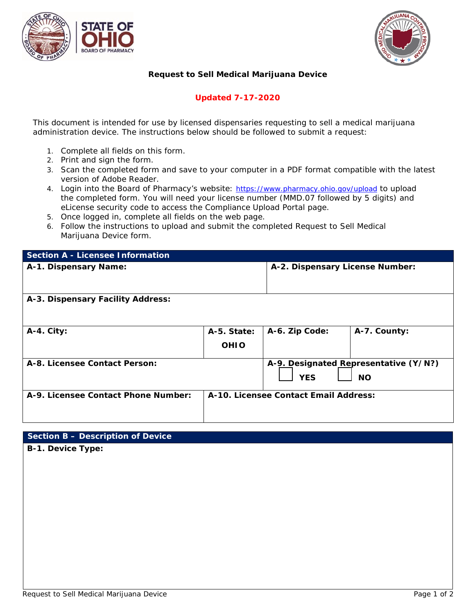



### **Request to Sell Medical Marijuana Device**

## **Updated 7-17-2020**

*This document is intended for use by licensed dispensaries requesting to sell a medical marijuana administration device. The instructions below should be followed to submit a request:*

- 1. Complete all fields on this form.
- 2. Print and sign the form.
- 3. Scan the completed form and save to your computer in a PDF format compatible with the latest version of Adobe Reader.
- 4. Login into the Board of Pharmacy's website: <https://www.pharmacy.ohio.gov/upload> to upload the completed form. You will need your license number (MMD.07 followed by 5 digits) and eLicense security code to access the Compliance Upload Portal page.
- 5. Once logged in, complete all fields on the web page.
- 6. Follow the instructions to upload and submit the completed Request to Sell Medical Marijuana Device form.

| <b>Section A - Licensee Information</b> |                            |                                       |                                                    |
|-----------------------------------------|----------------------------|---------------------------------------|----------------------------------------------------|
| A-1. Dispensary Name:                   |                            | A-2. Dispensary License Number:       |                                                    |
| A-3. Dispensary Facility Address:       |                            |                                       |                                                    |
| $A-4.$ City:                            | A-5. State:<br><b>OHIO</b> | A-6. Zip Code:                        | A-7. County:                                       |
| A-8. Licensee Contact Person:           |                            | <b>YES</b>                            | A-9. Designated Representative (Y/N?)<br><b>NO</b> |
| A-9. Licensee Contact Phone Number:     |                            | A-10. Licensee Contact Email Address: |                                                    |

### **Section B – Description of Device**

**B-1. Device Type:**